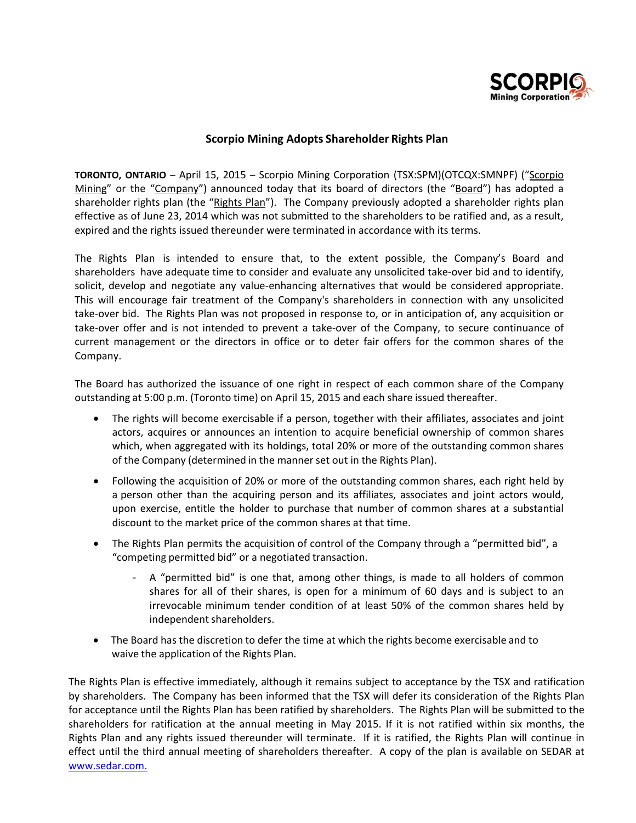

## **Scorpio Mining Adopts Shareholder Rights Plan**

**TORONTO, ONTARIO** – April 15, 2015 – Scorpio Mining Corporation (TSX:SPM)(OTCQX:SMNPF) ("Scorpio Mining" or the "Company") announced today that its board of directors (the "Board") has adopted a shareholder rights plan (the "Rights Plan"). The Company previously adopted a shareholder rights plan effective as of June 23, 2014 which was not submitted to the shareholders to be ratified and, as a result, expired and the rights issued thereunder were terminated in accordance with its terms.

The Rights Plan is intended to ensure that, to the extent possible, the Company's Board and shareholders have adequate time to consider and evaluate any unsolicited take-over bid and to identify, solicit, develop and negotiate any value-enhancing alternatives that would be considered appropriate. This will encourage fair treatment of the Company's shareholders in connection with any unsolicited take‐over bid. The Rights Plan was not proposed in response to, or in anticipation of, any acquisition or take-over offer and is not intended to prevent a take-over of the Company, to secure continuance of current management or the directors in office or to deter fair offers for the common shares of the Company.

The Board has authorized the issuance of one right in respect of each common share of the Company outstanding at 5:00 p.m. (Toronto time) on April 15, 2015 and each share issued thereafter.

- The rights will become exercisable if a person, together with their affiliates, associates and joint actors, acquires or announces an intention to acquire beneficial ownership of common shares which, when aggregated with its holdings, total 20% or more of the outstanding common shares of the Company (determined in the mannerset out in the Rights Plan).
- Following the acquisition of 20% or more of the outstanding common shares, each right held by a person other than the acquiring person and its affiliates, associates and joint actors would, upon exercise, entitle the holder to purchase that number of common shares at a substantial discount to the market price of the common shares at that time.
- The Rights Plan permits the acquisition of control of the Company through a "permitted bid", a "competing permitted bid" or a negotiated transaction.
	- A "permitted bid" is one that, among other things, is made to all holders of common shares for all of their shares, is open for a minimum of 60 days and is subject to an irrevocable minimum tender condition of at least 50% of the common shares held by independent shareholders.
- The Board has the discretion to defer the time at which the rights become exercisable and to waive the application of the Rights Plan.

The Rights Plan is effective immediately, although it remains subject to acceptance by the TSX and ratification by shareholders. The Company has been informed that the TSX will defer its consideration of the Rights Plan for acceptance until the Rights Plan has been ratified by shareholders. The Rights Plan will be submitted to the shareholders for ratification at the annual meeting in May 2015. If it is not ratified within six months, the Rights Plan and any rights issued thereunder will terminate. If it is ratified, the Rights Plan will continue in effect until the third annual meeting of shareholders thereafter. A copy of the plan is available on SEDAR at www.sedar.com.